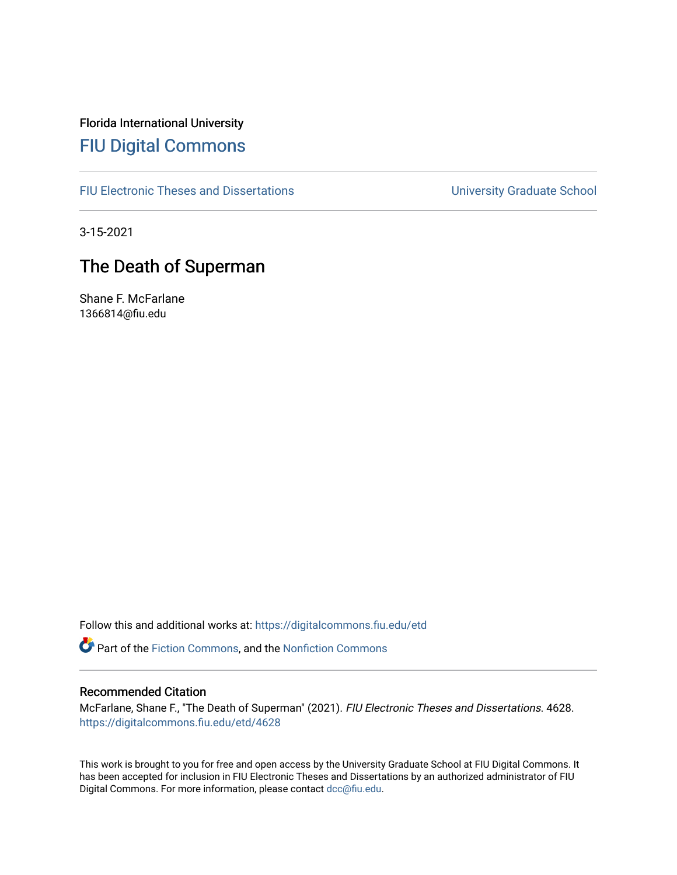Florida International University [FIU Digital Commons](https://digitalcommons.fiu.edu/)

[FIU Electronic Theses and Dissertations](https://digitalcommons.fiu.edu/etd) **EXECUTE:** University Graduate School

3-15-2021

# The Death of Superman

Shane F. McFarlane 1366814@fiu.edu

Follow this and additional works at: [https://digitalcommons.fiu.edu/etd](https://digitalcommons.fiu.edu/etd?utm_source=digitalcommons.fiu.edu%2Fetd%2F4628&utm_medium=PDF&utm_campaign=PDFCoverPages)

Part of the [Fiction Commons,](http://network.bepress.com/hgg/discipline/1151?utm_source=digitalcommons.fiu.edu%2Fetd%2F4628&utm_medium=PDF&utm_campaign=PDFCoverPages) and the [Nonfiction Commons](http://network.bepress.com/hgg/discipline/1152?utm_source=digitalcommons.fiu.edu%2Fetd%2F4628&utm_medium=PDF&utm_campaign=PDFCoverPages) 

#### Recommended Citation

McFarlane, Shane F., "The Death of Superman" (2021). FIU Electronic Theses and Dissertations. 4628. [https://digitalcommons.fiu.edu/etd/4628](https://digitalcommons.fiu.edu/etd/4628?utm_source=digitalcommons.fiu.edu%2Fetd%2F4628&utm_medium=PDF&utm_campaign=PDFCoverPages) 

This work is brought to you for free and open access by the University Graduate School at FIU Digital Commons. It has been accepted for inclusion in FIU Electronic Theses and Dissertations by an authorized administrator of FIU Digital Commons. For more information, please contact [dcc@fiu.edu](mailto:dcc@fiu.edu).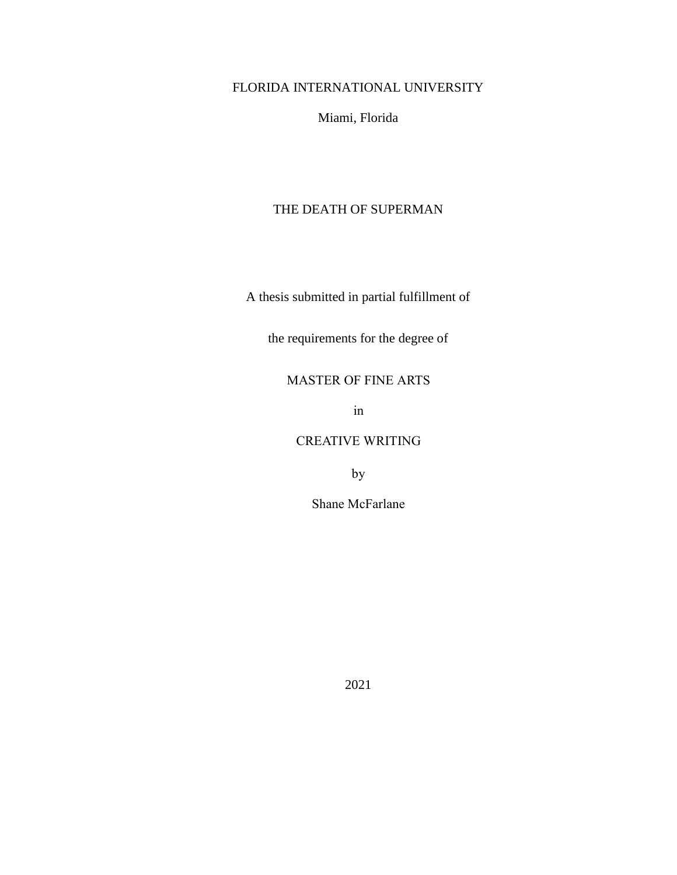FLORIDA INTERNATIONAL UNIVERSITY

Miami, Florida

### THE DEATH OF SUPERMAN

A thesis submitted in partial fulfillment of

the requirements for the degree of

MASTER OF FINE ARTS

in

## CREATIVE WRITING

by

Shane McFarlane

2021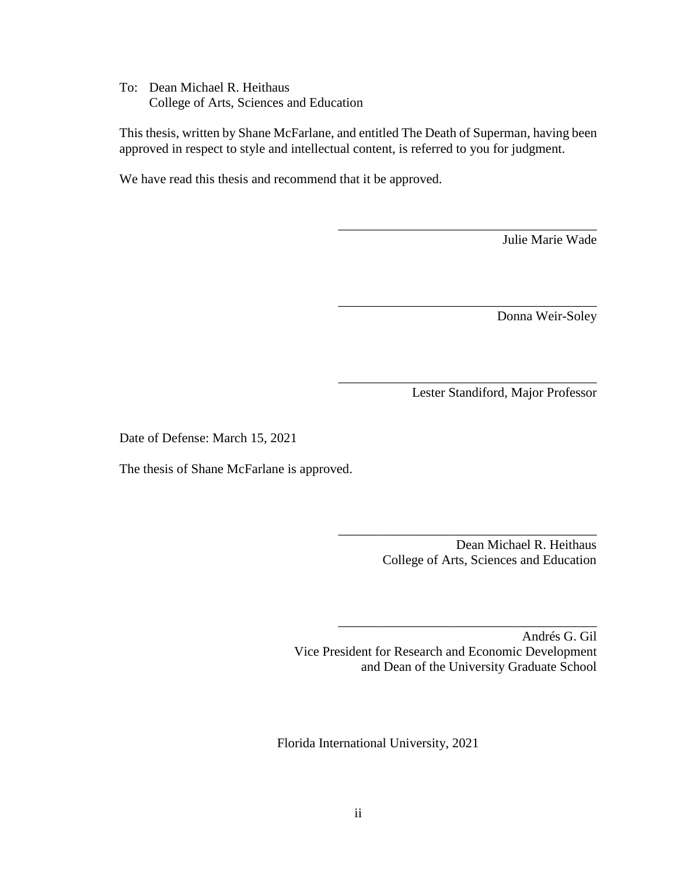To: Dean Michael R. Heithaus College of Arts, Sciences and Education

This thesis, written by Shane McFarlane, and entitled The Death of Superman, having been approved in respect to style and intellectual content, is referred to you for judgment.

We have read this thesis and recommend that it be approved.

Julie Marie Wade

Donna Weir-Soley

Lester Standiford, Major Professor

\_\_\_\_\_\_\_\_\_\_\_\_\_\_\_\_\_\_\_\_\_\_\_\_\_\_\_\_\_\_\_\_\_\_\_\_\_\_\_

\_\_\_\_\_\_\_\_\_\_\_\_\_\_\_\_\_\_\_\_\_\_\_\_\_\_\_\_\_\_\_\_\_\_\_\_\_\_\_

\_\_\_\_\_\_\_\_\_\_\_\_\_\_\_\_\_\_\_\_\_\_\_\_\_\_\_\_\_\_\_\_\_\_\_\_\_\_\_

Date of Defense: March 15, 2021

The thesis of Shane McFarlane is approved.

Dean Michael R. Heithaus College of Arts, Sciences and Education

\_\_\_\_\_\_\_\_\_\_\_\_\_\_\_\_\_\_\_\_\_\_\_\_\_\_\_\_\_\_\_\_\_\_\_\_\_\_\_

\_\_\_\_\_\_\_\_\_\_\_\_\_\_\_\_\_\_\_\_\_\_\_\_\_\_\_\_\_\_\_\_\_\_\_\_\_\_\_

Andrés G. Gil Vice President for Research and Economic Development and Dean of the University Graduate School

Florida International University, 2021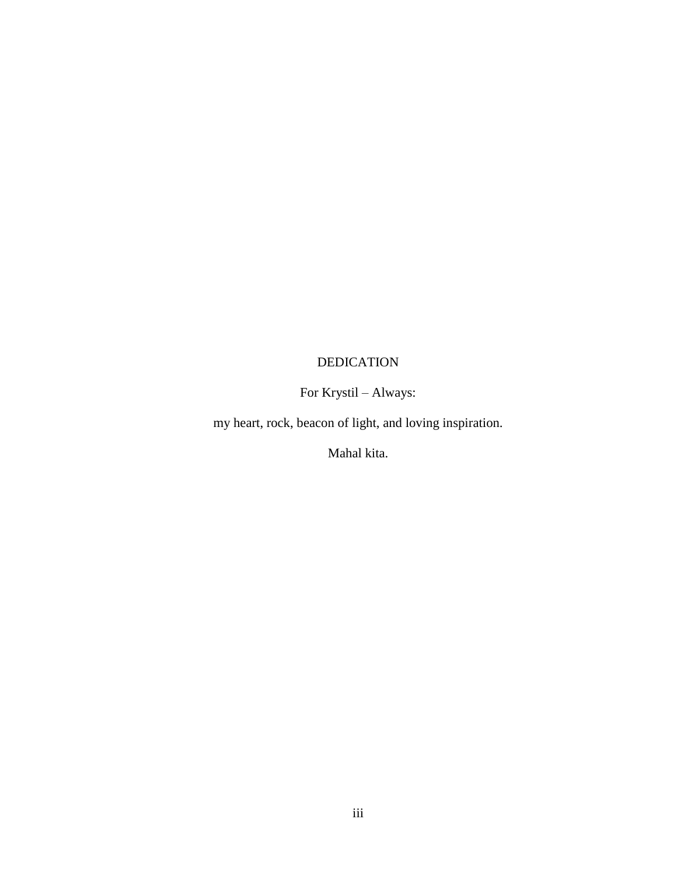# DEDICATION

# For Krystil – Always:

my heart, rock, beacon of light, and loving inspiration.

Mahal kita.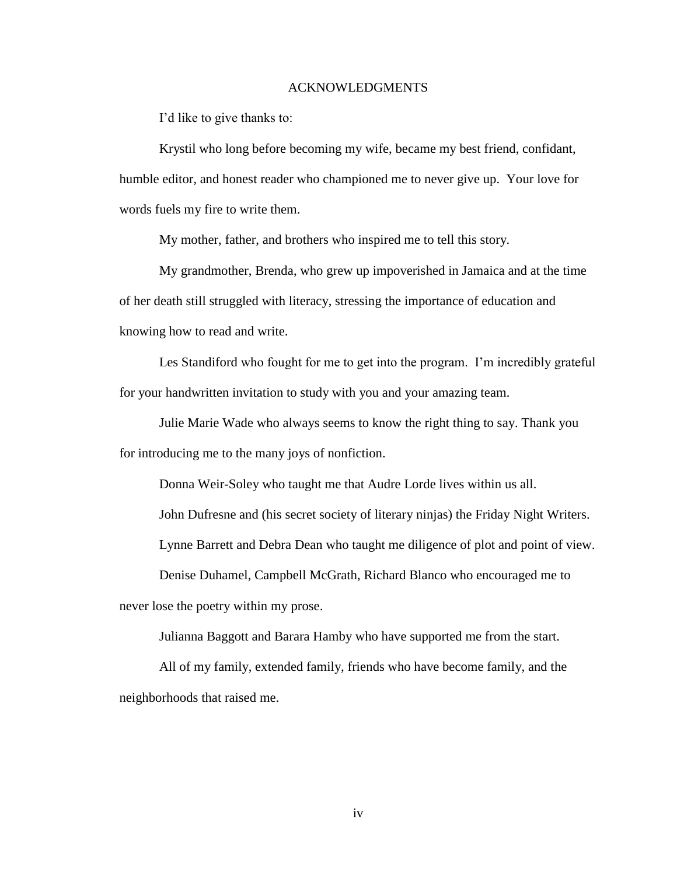#### ACKNOWLEDGMENTS

I'd like to give thanks to:

Krystil who long before becoming my wife, became my best friend, confidant, humble editor, and honest reader who championed me to never give up. Your love for words fuels my fire to write them.

My mother, father, and brothers who inspired me to tell this story.

My grandmother, Brenda, who grew up impoverished in Jamaica and at the time of her death still struggled with literacy, stressing the importance of education and knowing how to read and write.

Les Standiford who fought for me to get into the program. I'm incredibly grateful for your handwritten invitation to study with you and your amazing team.

Julie Marie Wade who always seems to know the right thing to say. Thank you for introducing me to the many joys of nonfiction.

Donna Weir-Soley who taught me that Audre Lorde lives within us all.

John Dufresne and (his secret society of literary ninjas) the Friday Night Writers.

Lynne Barrett and Debra Dean who taught me diligence of plot and point of view.

Denise Duhamel, Campbell McGrath, Richard Blanco who encouraged me to

never lose the poetry within my prose.

Julianna Baggott and Barara Hamby who have supported me from the start.

All of my family, extended family, friends who have become family, and the neighborhoods that raised me.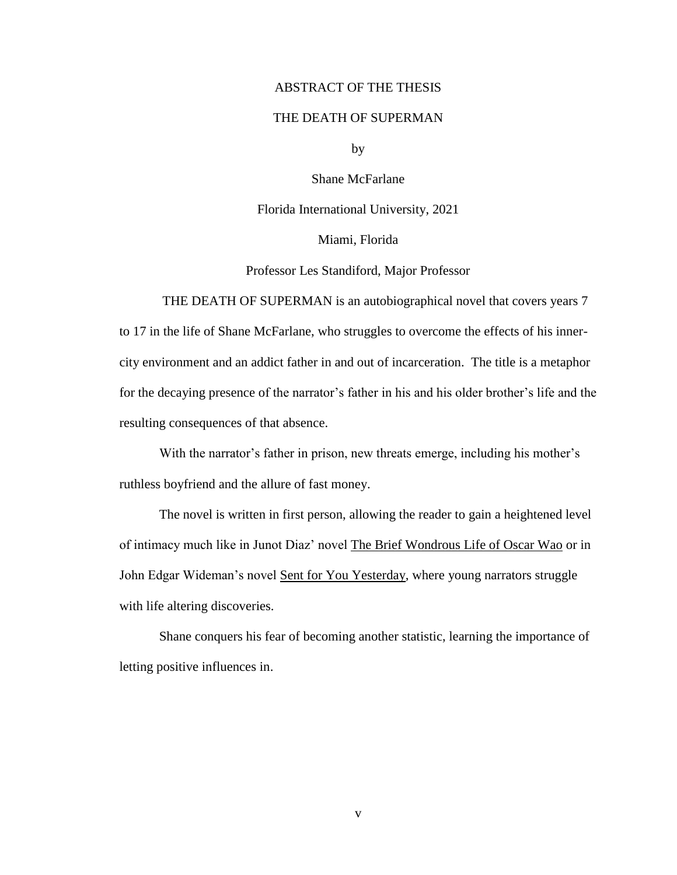#### ABSTRACT OF THE THESIS

### THE DEATH OF SUPERMAN

by

Shane McFarlane

Florida International University, 2021

Miami, Florida

Professor Les Standiford, Major Professor

THE DEATH OF SUPERMAN is an autobiographical novel that covers years 7 to 17 in the life of Shane McFarlane, who struggles to overcome the effects of his innercity environment and an addict father in and out of incarceration. The title is a metaphor for the decaying presence of the narrator's father in his and his older brother's life and the resulting consequences of that absence.

With the narrator's father in prison, new threats emerge, including his mother's ruthless boyfriend and the allure of fast money.

The novel is written in first person, allowing the reader to gain a heightened level of intimacy much like in Junot Diaz' novel The Brief Wondrous Life of Oscar Wao or in John Edgar Wideman's novel Sent for You Yesterday, where young narrators struggle with life altering discoveries.

Shane conquers his fear of becoming another statistic, learning the importance of letting positive influences in.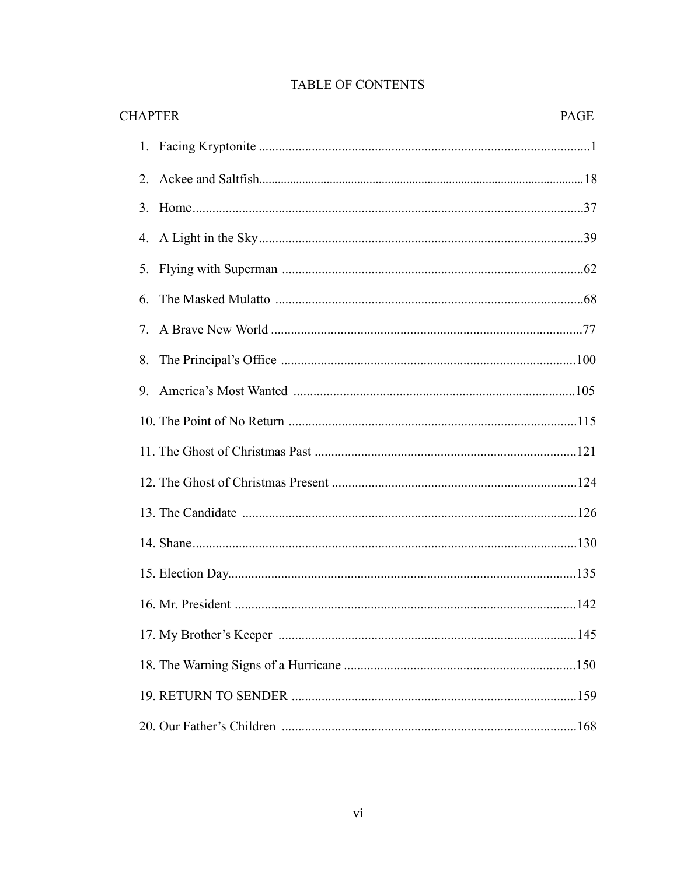| <b>CHAPTER</b><br>PAGE           |  |
|----------------------------------|--|
|                                  |  |
| 2.                               |  |
|                                  |  |
| 4.                               |  |
| 5.                               |  |
| 6.                               |  |
| $7_{\scriptscriptstyle{\ddots}}$ |  |
| 8.                               |  |
| 9.                               |  |
|                                  |  |
|                                  |  |
|                                  |  |
|                                  |  |
|                                  |  |
|                                  |  |
|                                  |  |
|                                  |  |
|                                  |  |
|                                  |  |
|                                  |  |

# TABLE OF CONTENTS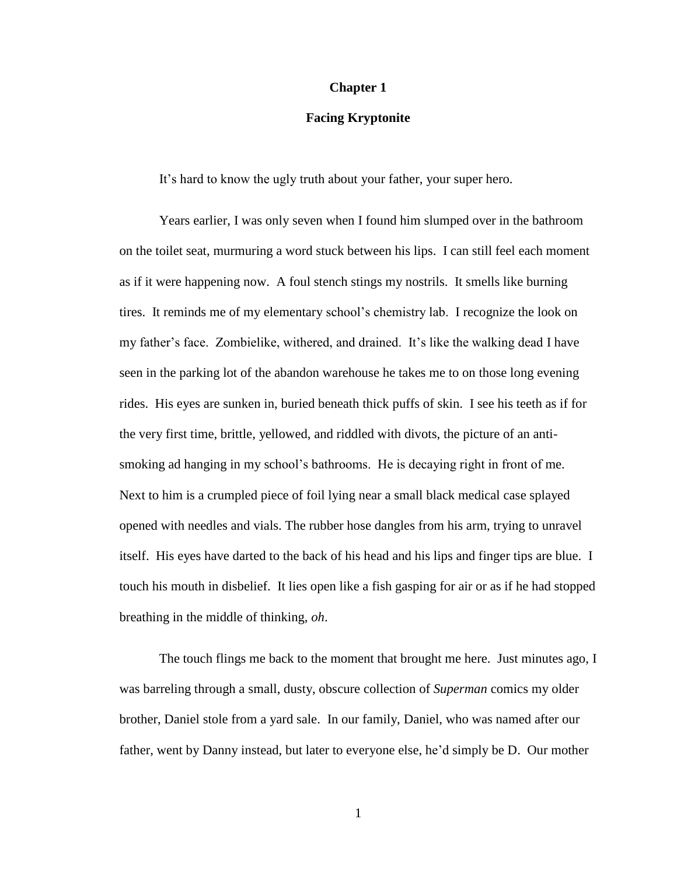#### **Chapter 1**

#### **Facing Kryptonite**

It's hard to know the ugly truth about your father, your super hero.

Years earlier, I was only seven when I found him slumped over in the bathroom on the toilet seat, murmuring a word stuck between his lips. I can still feel each moment as if it were happening now. A foul stench stings my nostrils. It smells like burning tires. It reminds me of my elementary school's chemistry lab. I recognize the look on my father's face. Zombielike, withered, and drained. It's like the walking dead I have seen in the parking lot of the abandon warehouse he takes me to on those long evening rides. His eyes are sunken in, buried beneath thick puffs of skin. I see his teeth as if for the very first time, brittle, yellowed, and riddled with divots, the picture of an antismoking ad hanging in my school's bathrooms. He is decaying right in front of me. Next to him is a crumpled piece of foil lying near a small black medical case splayed opened with needles and vials. The rubber hose dangles from his arm, trying to unravel itself. His eyes have darted to the back of his head and his lips and finger tips are blue. I touch his mouth in disbelief. It lies open like a fish gasping for air or as if he had stopped breathing in the middle of thinking, *oh*.

The touch flings me back to the moment that brought me here. Just minutes ago, I was barreling through a small, dusty, obscure collection of *Superman* comics my older brother, Daniel stole from a yard sale. In our family, Daniel, who was named after our father, went by Danny instead, but later to everyone else, he'd simply be D. Our mother

1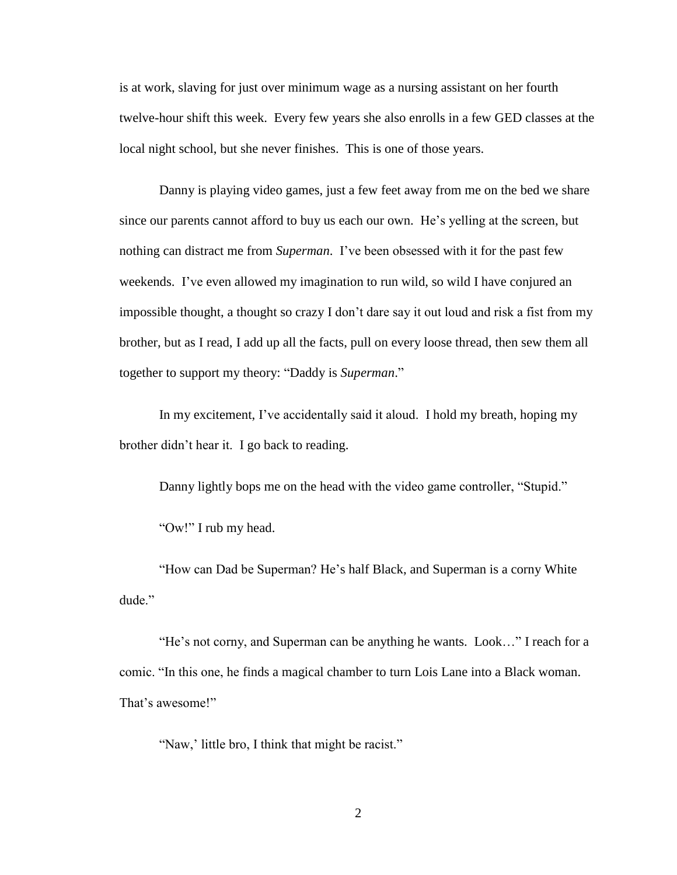is at work, slaving for just over minimum wage as a nursing assistant on her fourth twelve-hour shift this week. Every few years she also enrolls in a few GED classes at the local night school, but she never finishes. This is one of those years.

Danny is playing video games, just a few feet away from me on the bed we share since our parents cannot afford to buy us each our own. He's yelling at the screen, but nothing can distract me from *Superman*. I've been obsessed with it for the past few weekends. I've even allowed my imagination to run wild, so wild I have conjured an impossible thought, a thought so crazy I don't dare say it out loud and risk a fist from my brother, but as I read, I add up all the facts, pull on every loose thread, then sew them all together to support my theory: "Daddy is *Superman*."

In my excitement, I've accidentally said it aloud. I hold my breath, hoping my brother didn't hear it. I go back to reading.

Danny lightly bops me on the head with the video game controller, "Stupid."

"Ow!" I rub my head.

"How can Dad be Superman? He's half Black, and Superman is a corny White dude."

"He's not corny, and Superman can be anything he wants. Look…" I reach for a comic. "In this one, he finds a magical chamber to turn Lois Lane into a Black woman. That's awesome!"

"Naw,' little bro, I think that might be racist."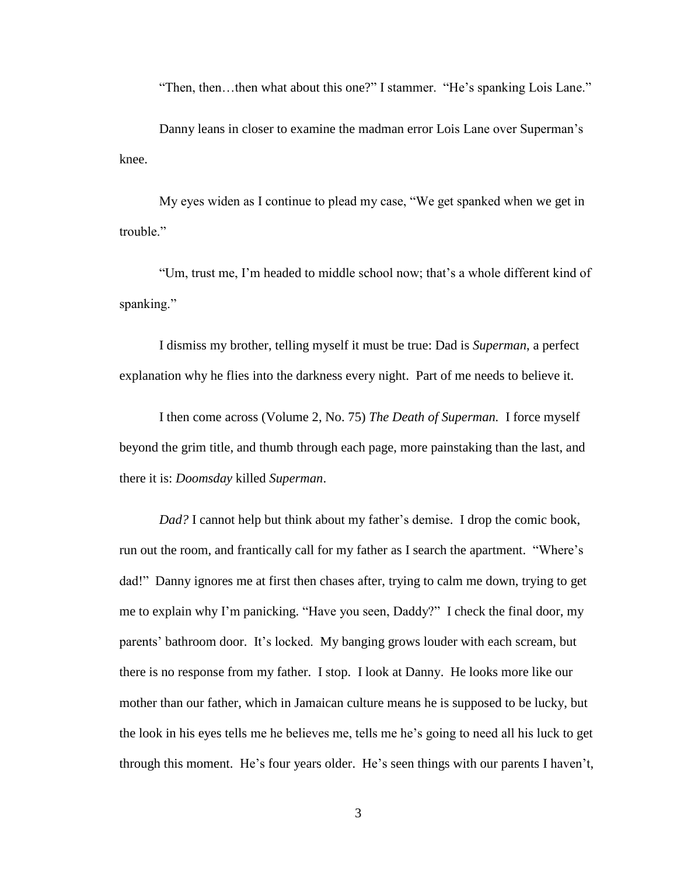"Then, then…then what about this one?" I stammer. "He's spanking Lois Lane."

Danny leans in closer to examine the madman error Lois Lane over Superman's knee.

My eyes widen as I continue to plead my case, "We get spanked when we get in trouble."

"Um, trust me, I'm headed to middle school now; that's a whole different kind of spanking."

I dismiss my brother, telling myself it must be true: Dad is *Superman*, a perfect explanation why he flies into the darkness every night. Part of me needs to believe it.

I then come across (Volume 2, No. 75) *The Death of Superman.* I force myself beyond the grim title, and thumb through each page, more painstaking than the last, and there it is: *Doomsday* killed *Superman*.

*Dad?* I cannot help but think about my father's demise. I drop the comic book, run out the room, and frantically call for my father as I search the apartment. "Where's dad!" Danny ignores me at first then chases after, trying to calm me down, trying to get me to explain why I'm panicking. "Have you seen, Daddy?" I check the final door, my parents' bathroom door. It's locked. My banging grows louder with each scream, but there is no response from my father. I stop. I look at Danny. He looks more like our mother than our father, which in Jamaican culture means he is supposed to be lucky, but the look in his eyes tells me he believes me, tells me he's going to need all his luck to get through this moment. He's four years older. He's seen things with our parents I haven't,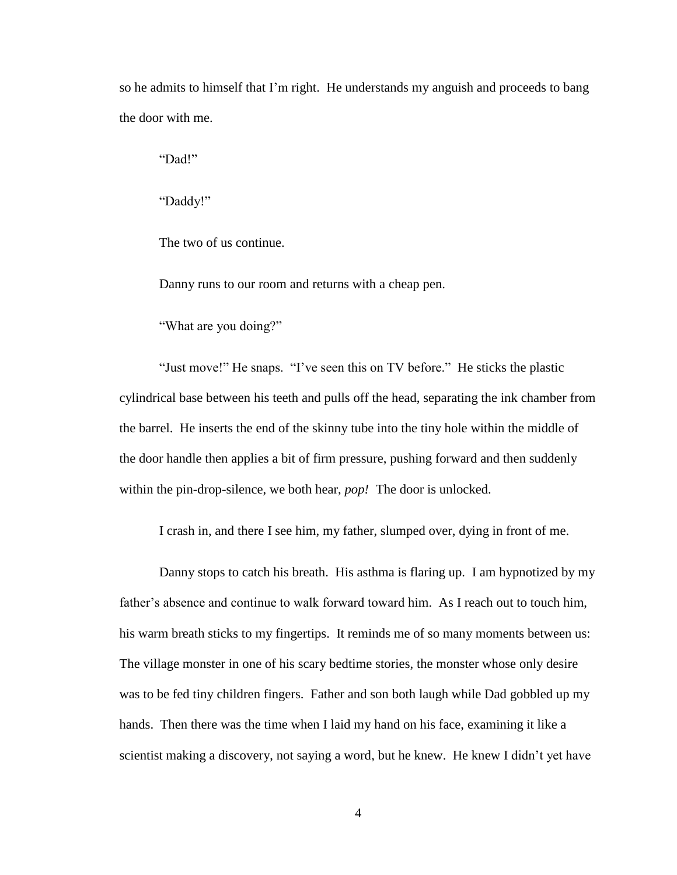so he admits to himself that I'm right. He understands my anguish and proceeds to bang the door with me.

"Dad!"

"Daddy!"

The two of us continue.

Danny runs to our room and returns with a cheap pen.

"What are you doing?"

"Just move!" He snaps. "I've seen this on TV before." He sticks the plastic cylindrical base between his teeth and pulls off the head, separating the ink chamber from the barrel. He inserts the end of the skinny tube into the tiny hole within the middle of the door handle then applies a bit of firm pressure, pushing forward and then suddenly within the pin-drop-silence, we both hear, *pop!* The door is unlocked.

I crash in, and there I see him, my father, slumped over, dying in front of me.

Danny stops to catch his breath. His asthma is flaring up. I am hypnotized by my father's absence and continue to walk forward toward him. As I reach out to touch him, his warm breath sticks to my fingertips. It reminds me of so many moments between us: The village monster in one of his scary bedtime stories, the monster whose only desire was to be fed tiny children fingers. Father and son both laugh while Dad gobbled up my hands. Then there was the time when I laid my hand on his face, examining it like a scientist making a discovery, not saying a word, but he knew. He knew I didn't yet have